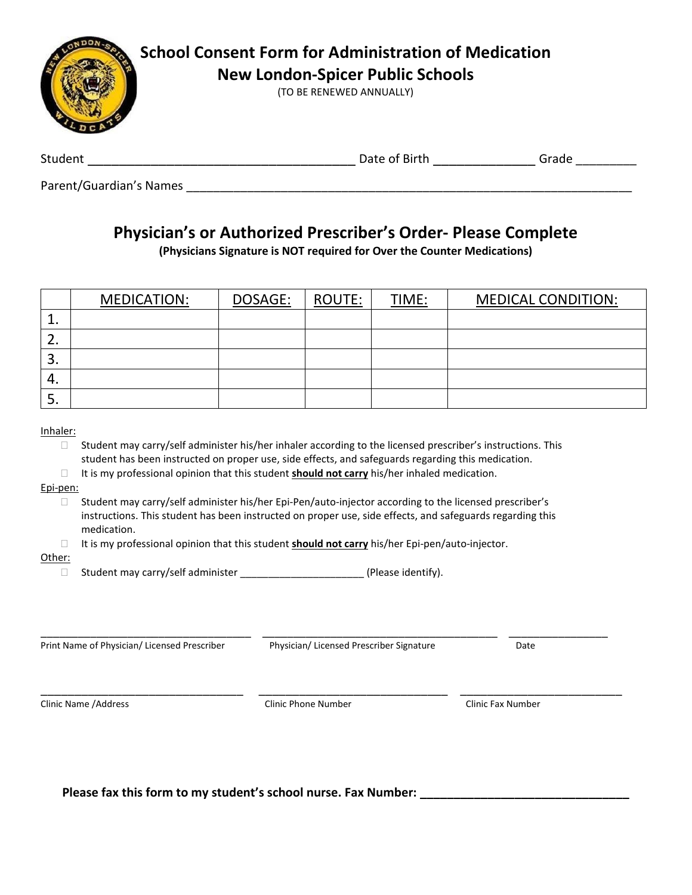

Parent/Guardian's Names

## **Physician's or Authorized Prescriber's Order- Please Complete**

**(Physicians Signature is NOT required for Over the Counter Medications)**

|          | MEDICATION: | DOSAGE: | <b>ROUTE:</b> | TIME: | <b>MEDICAL CONDITION:</b> |
|----------|-------------|---------|---------------|-------|---------------------------|
|          |             |         |               |       |                           |
| <u>.</u> |             |         |               |       |                           |
| э.       |             |         |               |       |                           |
| 4.       |             |         |               |       |                           |
| э.       |             |         |               |       |                           |

Inhaler:

- $\Box$  Student may carry/self administer his/her inhaler according to the licensed prescriber's instructions. This student has been instructed on proper use, side effects, and safeguards regarding this medication.
- $\Box$  It is my professional opinion that this student **should not carry** his/her inhaled medication.

Epi-pen:

- □ Student may carry/self administer his/her Epi-Pen/auto-injector according to the licensed prescriber's instructions. This student has been instructed on proper use, side effects, and safeguards regarding this medication.
- □ It is my professional opinion that this student **should not carry** his/her Epi-pen/auto-injector.

Other:

 $\Box$  Student may carry/self administer  $\Box$  (Please identify).

Print Name of Physician/ Licensed Prescriber Physician/ Licensed Prescriber Signature Date

Clinic Name /Address Clinic Phone Number Clinic Fax Number

\_\_\_\_\_\_\_\_\_\_\_\_\_\_\_\_\_\_\_\_\_\_\_\_\_\_\_\_\_\_\_\_\_\_ \_\_\_\_\_\_\_\_\_\_\_\_\_\_\_\_\_\_\_\_\_\_\_\_\_\_\_\_\_\_\_\_\_\_\_\_\_\_ \_\_\_\_\_\_\_\_\_\_\_\_\_\_\_\_

\_\_\_\_\_\_\_\_\_\_\_\_\_\_\_\_\_\_\_\_\_\_\_\_\_\_\_\_\_\_ \_\_\_\_\_\_\_\_\_\_\_\_\_\_\_\_\_\_\_\_\_\_\_\_\_\_\_\_ \_\_\_\_\_\_\_\_\_\_\_\_\_\_\_\_\_\_\_\_\_\_\_\_

**Please fax this form to my student's school nurse. Fax Number: \_\_\_\_\_\_\_\_\_\_\_\_\_\_\_\_\_\_\_\_\_\_\_\_\_\_\_\_\_\_\_**